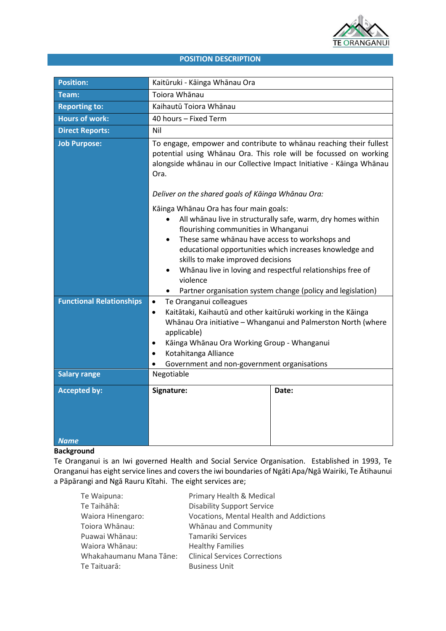

# **POSITION DESCRIPTION**

| <b>Position:</b>                | Kaitūruki - Kāinga Whānau Ora                                                                                                                                                                                                                                                                                                                                                                                                                                            |       |
|---------------------------------|--------------------------------------------------------------------------------------------------------------------------------------------------------------------------------------------------------------------------------------------------------------------------------------------------------------------------------------------------------------------------------------------------------------------------------------------------------------------------|-------|
| Team:                           | Toiora Whānau                                                                                                                                                                                                                                                                                                                                                                                                                                                            |       |
| <b>Reporting to:</b>            | Kaihautū Toiora Whānau                                                                                                                                                                                                                                                                                                                                                                                                                                                   |       |
| <b>Hours of work:</b>           | 40 hours - Fixed Term                                                                                                                                                                                                                                                                                                                                                                                                                                                    |       |
| <b>Direct Reports:</b>          | Nil                                                                                                                                                                                                                                                                                                                                                                                                                                                                      |       |
| <b>Job Purpose:</b>             | To engage, empower and contribute to whanau reaching their fullest<br>potential using Whanau Ora. This role will be focussed on working<br>alongside whānau in our Collective Impact Initiative - Kāinga Whānau<br>Ora.                                                                                                                                                                                                                                                  |       |
|                                 | Deliver on the shared goals of Kāinga Whānau Ora:                                                                                                                                                                                                                                                                                                                                                                                                                        |       |
|                                 | Kāinga Whānau Ora has four main goals:<br>All whanau live in structurally safe, warm, dry homes within<br>flourishing communities in Whanganui<br>These same whanau have access to workshops and<br>$\bullet$<br>educational opportunities which increases knowledge and<br>skills to make improved decisions<br>Whānau live in loving and respectful relationships free of<br>$\bullet$<br>violence<br>Partner organisation system change (policy and legislation)<br>٠ |       |
| <b>Functional Relationships</b> | Te Oranganui colleagues<br>$\bullet$                                                                                                                                                                                                                                                                                                                                                                                                                                     |       |
|                                 | Kaitātaki, Kaihautū and other kaitūruki working in the Kāinga<br>$\bullet$<br>Whānau Ora initiative - Whanganui and Palmerston North (where<br>applicable)<br>Kāinga Whānau Ora Working Group - Whanganui<br>٠<br>Kotahitanga Alliance<br>$\bullet$<br>Government and non-government organisations<br>$\bullet$                                                                                                                                                          |       |
| <b>Salary range</b>             | Negotiable                                                                                                                                                                                                                                                                                                                                                                                                                                                               |       |
| <b>Accepted by:</b>             | Signature:                                                                                                                                                                                                                                                                                                                                                                                                                                                               | Date: |
| <b>Name</b>                     |                                                                                                                                                                                                                                                                                                                                                                                                                                                                          |       |

# **Background**

Te Oranganui is an Iwi governed Health and Social Service Organisation. Established in 1993, Te Oranganui has eight service lines and covers the iwi boundaries of Ngāti Apa/Ngā Wairiki, Te Ātihaunui a Pāpārangi and Ngā Rauru Kītahi. The eight services are;

| Te Waipuna:             | Primary Health & Medical                |
|-------------------------|-----------------------------------------|
| Te Taihāhā:             | <b>Disability Support Service</b>       |
| Waiora Hinengaro:       | Vocations, Mental Health and Addictions |
| Toiora Whānau:          | Whānau and Community                    |
| Puawai Whānau:          | Tamariki Services                       |
| Waiora Whānau:          | <b>Healthy Families</b>                 |
| Whakahaumanu Mana Tāne: | <b>Clinical Services Corrections</b>    |
| Te Taituarā:            | <b>Business Unit</b>                    |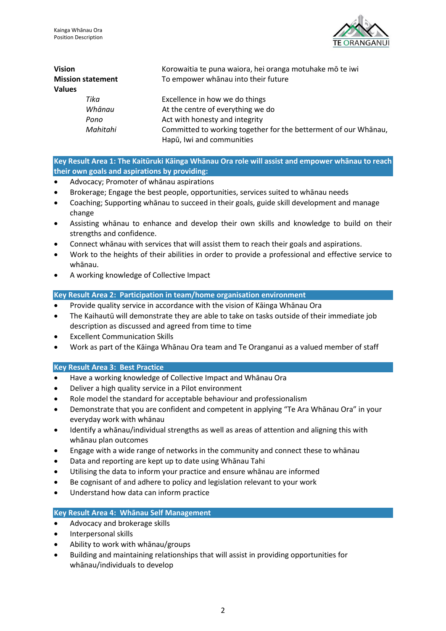

| <b>Vision</b><br><b>Mission statement</b><br><b>Values</b> | Korowaitia te puna waiora, hei oranga motuhake mō te iwi<br>To empower whanau into their future |
|------------------------------------------------------------|-------------------------------------------------------------------------------------------------|
| Tika                                                       | Excellence in how we do things                                                                  |
| Whānau                                                     | At the centre of everything we do                                                               |
| Pono                                                       | Act with honesty and integrity                                                                  |
| Mahitahi                                                   | Committed to working together for the betterment of our Whanau,                                 |
|                                                            | Hapū, Iwi and communities                                                                       |

**Key Result Area 1: The Kaitūruki Kāinga Whānau Ora role will assist and empower whānau to reach their own goals and aspirations by providing:** 

- Advocacy; Promoter of whānau aspirations
- Brokerage; Engage the best people, opportunities, services suited to whānau needs
- Coaching; Supporting whānau to succeed in their goals, guide skill development and manage change
- Assisting whānau to enhance and develop their own skills and knowledge to build on their strengths and confidence.
- Connect whānau with services that will assist them to reach their goals and aspirations.
- Work to the heights of their abilities in order to provide a professional and effective service to whānau.
- A working knowledge of Collective Impact

#### **Key Result Area 2: Participation in team/home organisation environment**

- Provide quality service in accordance with the vision of Kāinga Whānau Ora
- The Kaihautū will demonstrate they are able to take on tasks outside of their immediate job description as discussed and agreed from time to time
- Excellent Communication Skills
- Work as part of the Kāinga Whānau Ora team and Te Oranganui as a valued member of staff

#### **Key Result Area 3: Best Practice**

- Have a working knowledge of Collective Impact and Whānau Ora
- Deliver a high quality service in a Pilot environment
- Role model the standard for acceptable behaviour and professionalism
- Demonstrate that you are confident and competent in applying "Te Ara Whānau Ora" in your everyday work with whānau
- Identify a whānau/individual strengths as well as areas of attention and aligning this with whānau plan outcomes
- Engage with a wide range of networks in the community and connect these to whānau
- Data and reporting are kept up to date using Whānau Tahi
- Utilising the data to inform your practice and ensure whānau are informed
- Be cognisant of and adhere to policy and legislation relevant to your work
- Understand how data can inform practice

#### **Key Result Area 4: Whānau Self Management**

- Advocacy and brokerage skills
- Interpersonal skills
- Ability to work with whānau/groups
- Building and maintaining relationships that will assist in providing opportunities for whānau/individuals to develop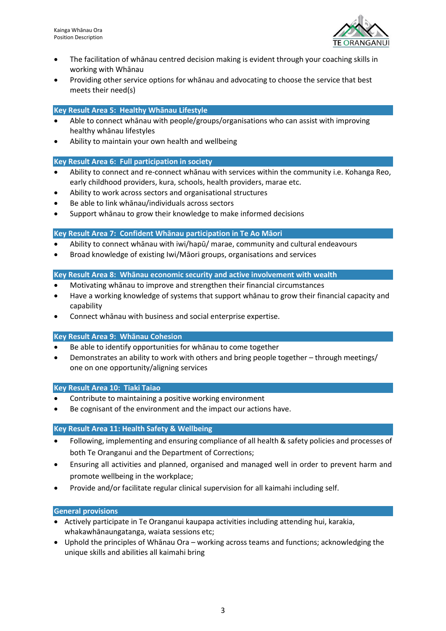

- The facilitation of whānau centred decision making is evident through your coaching skills in working with Whānau
- Providing other service options for whānau and advocating to choose the service that best meets their need(s)

### **Key Result Area 5: Healthy Whānau Lifestyle**

- Able to connect whānau with people/groups/organisations who can assist with improving healthy whānau lifestyles
- Ability to maintain your own health and wellbeing

#### **Key Result Area 6: Full participation in society**

- Ability to connect and re-connect whānau with services within the community i.e. Kohanga Reo, early childhood providers, kura, schools, health providers, marae etc.
- Ability to work across sectors and organisational structures
- Be able to link whānau/individuals across sectors
- Support whānau to grow their knowledge to make informed decisions

# **Key Result Area 7: Confident Whānau participation in Te Ao Māori**

- Ability to connect whānau with iwi/hapū/ marae, community and cultural endeavours
- Broad knowledge of existing Iwi/Māori groups, organisations and services

#### **Key Result Area 8: Whānau economic security and active involvement with wealth**

- Motivating whānau to improve and strengthen their financial circumstances
- Have a working knowledge of systems that support whānau to grow their financial capacity and capability
- Connect whānau with business and social enterprise expertise.

#### **Key Result Area 9: Whānau Cohesion**

- Be able to identify opportunities for whanau to come together
- Demonstrates an ability to work with others and bring people together through meetings/ one on one opportunity/aligning services

#### **Key Result Area 10: Tiaki Taiao**

- Contribute to maintaining a positive working environment
- Be cognisant of the environment and the impact our actions have.

#### **Key Result Area 11: Health Safety & Wellbeing**

- Following, implementing and ensuring compliance of all health & safety policies and processes of both Te Oranganui and the Department of Corrections;
- Ensuring all activities and planned, organised and managed well in order to prevent harm and promote wellbeing in the workplace;
- Provide and/or facilitate regular clinical supervision for all kaimahi including self.

#### **General provisions**

- Actively participate in Te Oranganui kaupapa activities including attending hui, karakia, whakawhānaungatanga, waiata sessions etc;
- Uphold the principles of Whānau Ora working across teams and functions; acknowledging the unique skills and abilities all kaimahi bring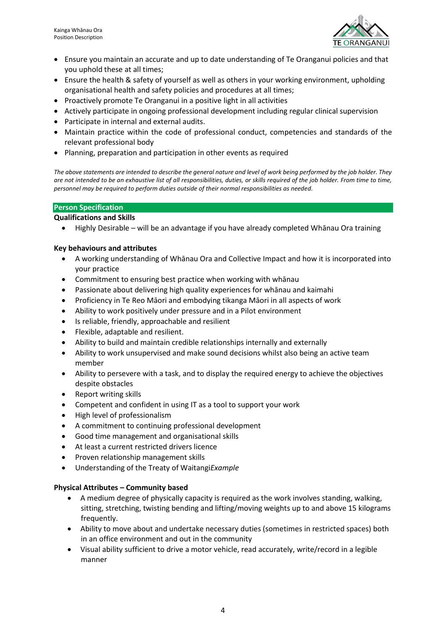

- Ensure you maintain an accurate and up to date understanding of Te Oranganui policies and that you uphold these at all times;
- Ensure the health & safety of yourself as well as others in your working environment, upholding organisational health and safety policies and procedures at all times;
- Proactively promote Te Oranganui in a positive light in all activities
- Actively participate in ongoing professional development including regular clinical supervision
- Participate in internal and external audits.
- Maintain practice within the code of professional conduct, competencies and standards of the relevant professional body
- Planning, preparation and participation in other events as required

*The above statements are intended to describe the general nature and level of work being performed by the job holder. They are not intended to be an exhaustive list of all responsibilities, duties, or skills required of the job holder. From time to time, personnel may be required to perform duties outside of their normal responsibilities as needed.*

#### **Person Specification**

#### **Qualifications and Skills**

• Highly Desirable – will be an advantage if you have already completed Whānau Ora training

#### **Key behaviours and attributes**

- A working understanding of Whānau Ora and Collective Impact and how it is incorporated into your practice
- Commitment to ensuring best practice when working with whānau
- Passionate about delivering high quality experiences for whānau and kaimahi
- Proficiency in Te Reo Māori and embodying tikanga Māori in all aspects of work
- Ability to work positively under pressure and in a Pilot environment
- Is reliable, friendly, approachable and resilient
- Flexible, adaptable and resilient.
- Ability to build and maintain credible relationships internally and externally
- Ability to work unsupervised and make sound decisions whilst also being an active team member
- Ability to persevere with a task, and to display the required energy to achieve the objectives despite obstacles
- Report writing skills
- Competent and confident in using IT as a tool to support your work
- High level of professionalism
- A commitment to continuing professional development
- Good time management and organisational skills
- At least a current restricted drivers licence
- Proven relationship management skills
- Understanding of the Treaty of Waitangi*Example*

#### **Physical Attributes – Community based**

- A medium degree of physically capacity is required as the work involves standing, walking, sitting, stretching, twisting bending and lifting/moving weights up to and above 15 kilograms frequently.
- Ability to move about and undertake necessary duties (sometimes in restricted spaces) both in an office environment and out in the community
- Visual ability sufficient to drive a motor vehicle, read accurately, write/record in a legible manner